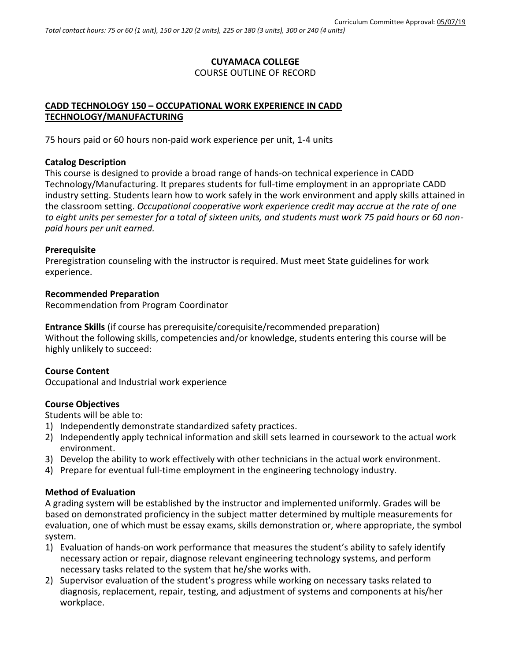# **CUYAMACA COLLEGE**

## COURSE OUTLINE OF RECORD

## **CADD TECHNOLOGY 150 – OCCUPATIONAL WORK EXPERIENCE IN CADD TECHNOLOGY/MANUFACTURING**

75 hours paid or 60 hours non-paid work experience per unit, 1-4 units

## **Catalog Description**

This course is designed to provide a broad range of hands-on technical experience in CADD Technology/Manufacturing. It prepares students for full-time employment in an appropriate CADD industry setting. Students learn how to work safely in the work environment and apply skills attained in the classroom setting. *Occupational cooperative work experience credit may accrue at the rate of one to eight units per semester for a total of sixteen units, and students must work 75 paid hours or 60 nonpaid hours per unit earned.*

### **Prerequisite**

Preregistration counseling with the instructor is required. Must meet State guidelines for work experience.

## **Recommended Preparation**

Recommendation from Program Coordinator

**Entrance Skills** (if course has prerequisite/corequisite/recommended preparation) Without the following skills, competencies and/or knowledge, students entering this course will be highly unlikely to succeed:

## **Course Content**

Occupational and Industrial work experience

## **Course Objectives**

Students will be able to:

- 1) Independently demonstrate standardized safety practices.
- 2) Independently apply technical information and skill sets learned in coursework to the actual work environment.
- 3) Develop the ability to work effectively with other technicians in the actual work environment.
- 4) Prepare for eventual full-time employment in the engineering technology industry.

## **Method of Evaluation**

A grading system will be established by the instructor and implemented uniformly. Grades will be based on demonstrated proficiency in the subject matter determined by multiple measurements for evaluation, one of which must be essay exams, skills demonstration or, where appropriate, the symbol system.

- 1) Evaluation of hands-on work performance that measures the student's ability to safely identify necessary action or repair, diagnose relevant engineering technology systems, and perform necessary tasks related to the system that he/she works with.
- 2) Supervisor evaluation of the student's progress while working on necessary tasks related to diagnosis, replacement, repair, testing, and adjustment of systems and components at his/her workplace.